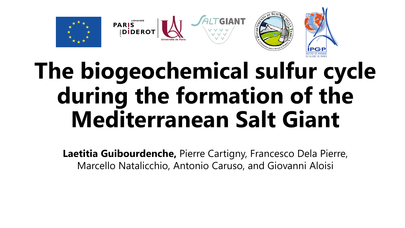

# **The biogeochemical sulfur cycle during the formation of the Mediterranean Salt Giant**

**Laetitia Guibourdenche,** Pierre Cartigny, Francesco Dela Pierre, Marcello Natalicchio, Antonio Caruso, and Giovanni Aloisi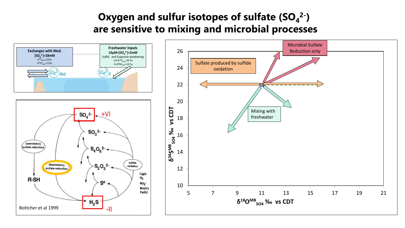### Oxygen and sulfur isotopes of sulfate (SO<sub>4</sub><sup>2-</sup>) **are sensitive to mixing and microbial processes**

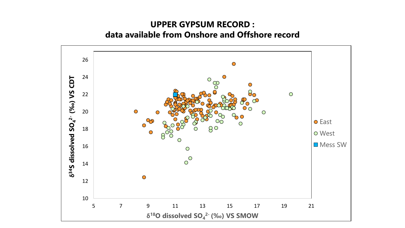#### **UPPER GYPSUM RECORD : data available from Onshore and Offshore record**

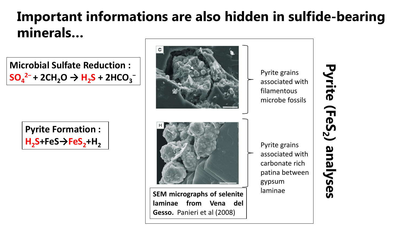## **Important informations are also hidden in sulfide-bearing minerals…**

**Gesso.** Panieri et al (2008)







Pyrite **Pyrite (FeS** (FeS<sub>2</sub>) **) analyses**